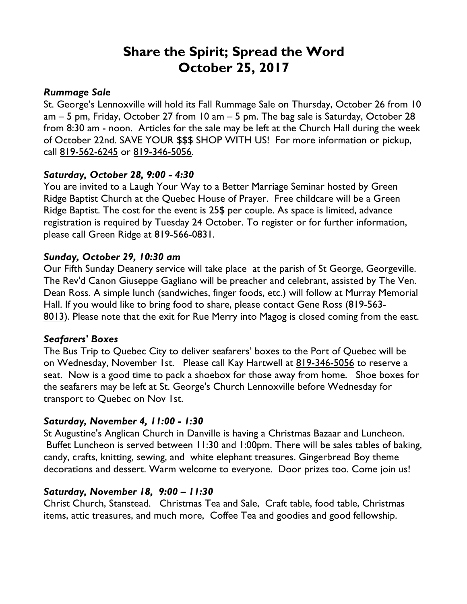# **Share the Spirit; Spread the Word October 25, 2017**

#### *Rummage Sale*

St. George's Lennoxville will hold its Fall Rummage Sale on Thursday, October 26 from 10 am – 5 pm, Friday, October 27 from 10 am – 5 pm. The bag sale is Saturday, October 28 from 8:30 am - noon. Articles for the sale may be left at the Church Hall during the week of October 22nd. SAVE YOUR \$\$\$ SHOP WITH US! For more information or pickup, call 819-562-6245 or 819-346-5056.

#### *Saturday, October 28, 9:00 - 4:30*

You are invited to a Laugh Your Way to a Better Marriage Seminar hosted by Green Ridge Baptist Church at the Quebec House of Prayer. Free childcare will be a Green Ridge Baptist. The cost for the event is 25\$ per couple. As space is limited, advance registration is required by Tuesday 24 October. To register or for further information, please call Green Ridge at 819-566-0831.

### *Sunday, October 29, 10:30 am*

Our Fifth Sunday Deanery service will take place at the parish of St George, Georgeville. The Rev'd Canon Giuseppe Gagliano will be preacher and celebrant, assisted by The Ven. Dean Ross. A simple lunch (sandwiches, finger foods, etc.) will follow at Murray Memorial Hall. If you would like to bring food to share, please contact Gene Ross (819-563- 8013). Please note that the exit for Rue Merry into Magog is closed coming from the east.

#### *Seafarers' Boxes*

The Bus Trip to Quebec City to deliver seafarers' boxes to the Port of Quebec will be on Wednesday, November 1st. Please call Kay Hartwell at 819-346-5056 to reserve a seat. Now is a good time to pack a shoebox for those away from home. Shoe boxes for the seafarers may be left at St. George's Church Lennoxville before Wednesday for transport to Quebec on Nov 1st.

## *Saturday, November 4, 11:00 - 1:30*

St Augustine's Anglican Church in Danville is having a Christmas Bazaar and Luncheon. Buffet Luncheon is served between 11:30 and 1:00pm. There will be sales tables of baking, candy, crafts, knitting, sewing, and white elephant treasures. Gingerbread Boy theme decorations and dessert. Warm welcome to everyone. Door prizes too. Come join us!

#### *Saturday, November 18, 9:00 – 11:30*

Christ Church, Stanstead. Christmas Tea and Sale, Craft table, food table, Christmas items, attic treasures, and much more, Coffee Tea and goodies and good fellowship.